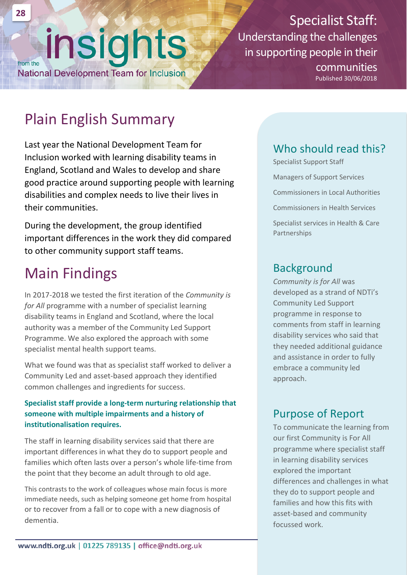# insights from the

**National Development Team for Inclusion** 

Specialist Staff: Understanding the challenges in supporting people in their communities

Published 30/06/2018

# Plain English Summary

Last year the National Development Team for Inclusion worked with learning disability teams in England, Scotland and Wales to develop and share good practice around supporting people with learning disabilities and complex needs to live their lives in their communities.

During the development, the group identified important differences in the work they did compared to other community support staff teams.

# Main Findings

In 2017-2018 we tested the first iteration of the *Community is for All* programme with a number of specialist learning disability teams in England and Scotland, where the local authority was a member of the Community Led Support Programme. We also explored the approach with some specialist mental health support teams.

What we found was that as specialist staff worked to deliver a Community Led and asset-based approach they identified common challenges and ingredients for success.

#### **Specialist staff provide a long-term nurturing relationship that someone with multiple impairments and a history of institutionalisation requires.**

The staff in learning disability services said that there are important differences in what they do to support people and families which often lasts over a person's whole life-time from the point that they become an adult through to old age.

This contrasts to the work of colleagues whose main focus is more immediate needs, such as helping someone get home from hospital or to recover from a fall or to cope with a new diagnosis of dementia.

### Who should read this?

Specialist Support Staff Managers of Support Services Commissioners in Local Authorities Commissioners in Health Services

Specialist services in Health & Care Partnerships

### **Background**

*Community is for All* was developed as a strand of NDTi's Community Led Support programme in response to comments from staff in learning disability services who said that they needed additional guidance and assistance in order to fully embrace a community led approach.

### Purpose of Report

To communicate the learning from our first Community is For All programme where specialist staff in learning disability services explored the important differences and challenges in what they do to support people and families and how this fits with asset-based and community focussed work.